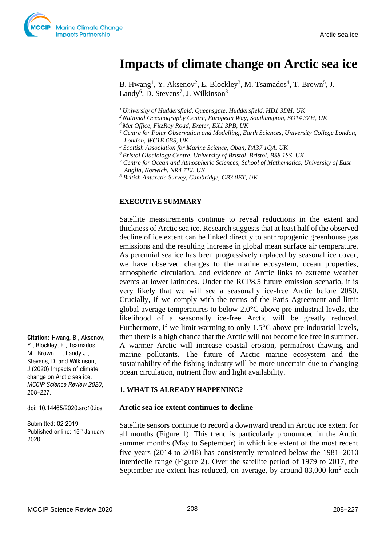# **Impacts of climate change on Arctic sea ice**

B. Hwang<sup>1</sup>, Y. Aksenov<sup>2</sup>, E. Blockley<sup>3</sup>, M. Tsamados<sup>4</sup>, T. Brown<sup>5</sup>, J. Landy<sup>6</sup>, D. Stevens<sup>7</sup>, J. Wilkinson<sup>8</sup>

- *<sup>1</sup> University of Huddersfield, Queensgate, Huddersfield, HD1 3DH, UK*
- *<sup>2</sup> National Oceanography Centre, European Way, Southampton, SO14 3ZH, UK*
- *<sup>3</sup> Met Office, FitzRoy Road, Exeter, EX1 3PB, UK*
- *<sup>4</sup> Centre for Polar Observation and Modelling, Earth Sciences, University College London, London, WC1E 6BS, UK*
- *<sup>5</sup> Scottish Association for Marine Science, Oban, PA37 1QA, UK*
- *<sup>6</sup>Bristol Glaciology Centre, University of Bristol, Bristol, BS8 1SS, UK*
- *<sup>7</sup> Centre for Ocean and Atmospheric Sciences, School of Mathematics, University of East Anglia, Norwich, NR4 7TJ, UK*
- *<sup>8</sup> British Antarctic Survey, Cambridge, CB3 0ET, UK*

#### **EXECUTIVE SUMMARY**

Satellite measurements continue to reveal reductions in the extent and thickness of Arctic sea ice. Research suggests that at least half of the observed decline of ice extent can be linked directly to anthropogenic greenhouse gas emissions and the resulting increase in global mean surface air temperature. As perennial sea ice has been progressively replaced by seasonal ice cover, we have observed changes to the marine ecosystem, ocean properties, atmospheric circulation, and evidence of Arctic links to extreme weather events at lower latitudes. Under the RCP8.5 future emission scenario, it is very likely that we will see a seasonally ice-free Arctic before 2050. Crucially, if we comply with the terms of the Paris Agreement and limit global average temperatures to below  $2.0^{\circ}$ C above pre-industrial levels, the likelihood of a seasonally ice-free Arctic will be greatly reduced. Furthermore, if we limit warming to only  $1.5^{\circ}$ C above pre-industrial levels, then there is a high chance that the Arctic will not become ice free in summer. A warmer Arctic will increase coastal erosion, permafrost thawing and marine pollutants. The future of Arctic marine ecosystem and the sustainability of the fishing industry will be more uncertain due to changing ocean circulation, nutrient flow and light availability.

#### **1. WHAT IS ALREADY HAPPENING?**

#### **Arctic sea ice extent continues to decline**

Satellite sensors continue to record a downward trend in Arctic ice extent for all months (Figure 1). This trend is particularly pronounced in the Arctic summer months (May to September) in which ice extent of the most recent five years (2014 to 2018) has consistently remained below the 1981−2010 interdecile range (Figure 2). Over the satellite period of 1979 to 2017, the September ice extent has reduced, on average, by around  $83,000 \text{ km}^2$  each

**Citation:** Hwang, B., Aksenov, Y., Blockley, E., Tsamados, M., Brown, T., Landy J., Stevens, D. and Wilkinson, J.(2020) Impacts of climate change on Arctic sea ice. *MCCIP Science Review 2020*, 208–227.

doi: 10.14465/2020.arc10.ice

Submitted: 02 2019 Published online: 15<sup>th</sup> January 2020.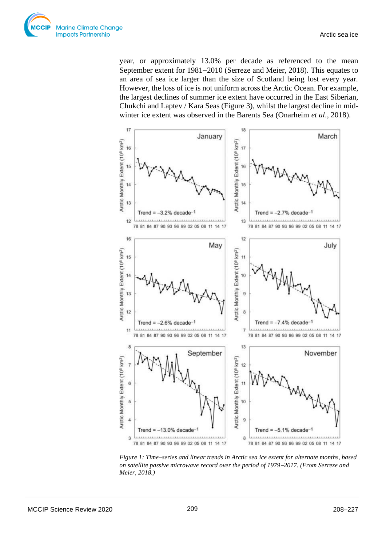

year, or approximately 13.0% per decade as referenced to the mean September extent for 1981−2010 (Serreze and Meier, 2018). This equates to an area of sea ice larger than the size of Scotland being lost every year. However, the loss of ice is not uniform across the Arctic Ocean. For example, the largest declines of summer ice extent have occurred in the East Siberian, Chukchi and Laptev / Kara Seas (Figure 3), whilst the largest decline in midwinter ice extent was observed in the Barents Sea (Onarheim *et al*., 2018).



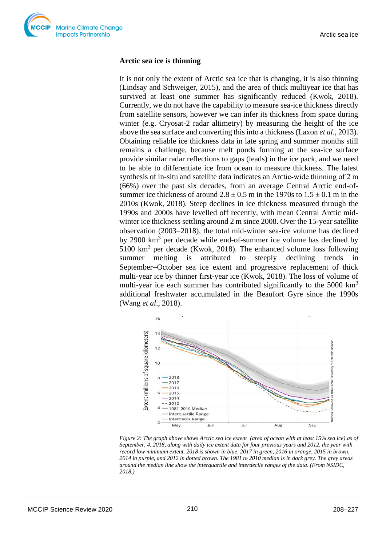## **Arctic sea ice is thinning**

It is not only the extent of Arctic sea ice that is changing, it is also thinning (Lindsay and Schweiger, 2015), and the area of thick multiyear ice that has survived at least one summer has significantly reduced (Kwok, 2018). Currently, we do not have the capability to measure sea-ice thickness directly from satellite sensors, however we can infer its thickness from space during winter (e.g. Cryosat-2 radar altimetry) by measuring the height of the ice above the sea surface and converting this into a thickness (Laxon *et al*., 2013). Obtaining reliable ice thickness data in late spring and summer months still remains a challenge, because melt ponds forming at the sea-ice surface provide similar radar reflections to gaps (leads) in the ice pack, and we need to be able to differentiate ice from ocean to measure thickness. The latest synthesis of in-situ and satellite data indicates an Arctic-wide thinning of 2 m (66%) over the past six decades, from an average Central Arctic end-ofsummer ice thickness of around  $2.8 \pm 0.5$  m in the 1970s to  $1.5 \pm 0.1$  m in the 2010s (Kwok, 2018). Steep declines in ice thickness measured through the 1990s and 2000s have levelled off recently, with mean Central Arctic midwinter ice thickness settling around 2 m since 2008. Over the 15-year satellite observation (2003−2018), the total mid-winter sea-ice volume has declined by 2900  $km<sup>3</sup>$  per decade while end-of-summer ice volume has declined by  $5100 \text{ km}^3$  per decade (Kwok, 2018). The enhanced volume loss following summer melting is attributed to steeply declining trends in September−October sea ice extent and progressive replacement of thick multi-year ice by thinner first-year ice (Kwok, 2018). The loss of volume of multi-year ice each summer has contributed significantly to the  $5000 \text{ km}^3$ additional freshwater accumulated in the Beaufort Gyre since the 1990s (Wang *et al*., 2018).



*Figure 2: The graph above shows Arctic sea ice extent (area of ocean with at least 15% sea ice) as of September, 4, 2018, along with daily ice extent data for four previous years and 2012, the year with record low minimum extent. 2018 is shown in blue, 2017 in green, 2016 in orange, 2015 in brown, 2014 in purple, and 2012 in dotted brown. The 1981 to 2010 median is in dark grey. The grey areas around the median line show the interquartile and interdecile ranges of the data. (From NSIDC, 2018.)*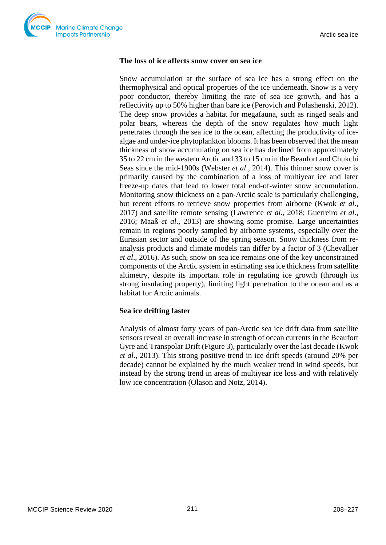## **The loss of ice affects snow cover on sea ice**

Snow accumulation at the surface of sea ice has a strong effect on the thermophysical and optical properties of the ice underneath. Snow is a very poor conductor, thereby limiting the rate of sea ice growth, and has a reflectivity up to 50% higher than bare ice (Perovich and Polashenski, 2012). The deep snow provides a habitat for megafauna, such as ringed seals and polar bears, whereas the depth of the snow regulates how much light penetrates through the sea ice to the ocean, affecting the productivity of icealgae and under-ice phytoplankton blooms. It has been observed that the mean thickness of snow accumulating on sea ice has declined from approximately 35 to 22 cm in the western Arctic and 33 to 15 cm in the Beaufort and Chukchi Seas since the mid-1900s (Webster *et al*., 2014). This thinner snow cover is primarily caused by the combination of a loss of multiyear ice and later freeze-up dates that lead to lower total end-of-winter snow accumulation. Monitoring snow thickness on a pan-Arctic scale is particularly challenging, but recent efforts to retrieve snow properties from airborne (Kwok *et al*., 2017) and satellite remote sensing (Lawrence *et al*., 2018; Guerreiro *et al*., 2016; Maaß *et al*., 2013) are showing some promise. Large uncertainties remain in regions poorly sampled by airborne systems, especially over the Eurasian sector and outside of the spring season. Snow thickness from reanalysis products and climate models can differ by a factor of 3 (Chevallier *et al*., 2016). As such, snow on sea ice remains one of the key unconstrained components of the Arctic system in estimating sea ice thickness from satellite altimetry, despite its important role in regulating ice growth (through its strong insulating property), limiting light penetration to the ocean and as a habitat for Arctic animals.

# **Sea ice drifting faster**

Analysis of almost forty years of pan-Arctic sea ice drift data from satellite sensors reveal an overall increase in strength of ocean currents in the Beaufort Gyre and Transpolar Drift (Figure 3), particularly over the last decade (Kwok *et al*., 2013). This strong positive trend in ice drift speeds (around 20% per decade) cannot be explained by the much weaker trend in wind speeds, but instead by the strong trend in areas of multiyear ice loss and with relatively low ice concentration (Olason and Notz, 2014).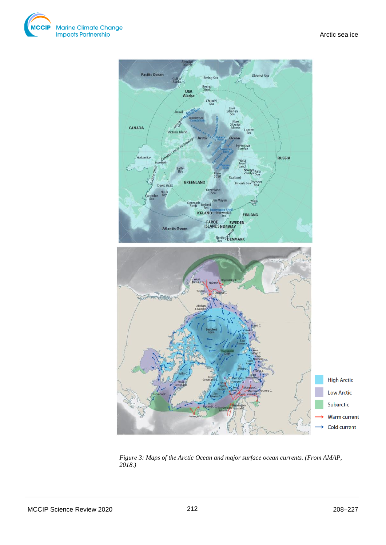



*Figure 3: Maps of the Arctic Ocean and major surface ocean currents. (From AMAP, 2018.)*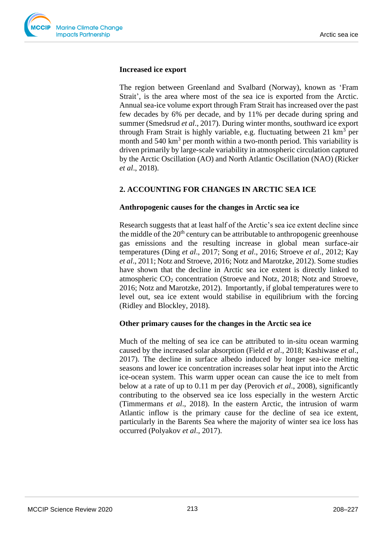

### **Increased ice export**

The region between Greenland and Svalbard (Norway), known as 'Fram Strait', is the area where most of the sea ice is exported from the Arctic. Annual sea-ice volume export through Fram Strait has increased over the past few decades by 6% per decade, and by 11% per decade during spring and summer (Smedsrud *et al*., 2017). During winter months, southward ice export through Fram Strait is highly variable, e.g. fluctuating between 21 km<sup>3</sup> per month and 540 km<sup>3</sup> per month within a two-month period. This variability is driven primarily by large-scale variability in atmospheric circulation captured by the Arctic Oscillation (AO) and North Atlantic Oscillation (NAO) (Ricker *et al*., 2018).

# **2. ACCOUNTING FOR CHANGES IN ARCTIC SEA ICE**

#### **Anthropogenic causes for the changes in Arctic sea ice**

Research suggests that at least half of the Arctic's sea ice extent decline since the middle of the  $20<sup>th</sup>$  century can be attributable to anthropogenic greenhouse gas emissions and the resulting increase in global mean surface-air temperatures (Ding *et al*., 2017; Song *et al*., 2016; Stroeve *et al*., 2012; Kay *et al*., 2011; Notz and Stroeve, 2016; Notz and Marotzke, 2012). Some studies have shown that the decline in Arctic sea ice extent is directly linked to atmospheric CO<sup>2</sup> concentration (Stroeve and Notz, 2018; Notz and Stroeve, 2016; Notz and Marotzke, 2012). Importantly, if global temperatures were to level out, sea ice extent would stabilise in equilibrium with the forcing (Ridley and Blockley, 2018).

### **Other primary causes for the changes in the Arctic sea ice**

Much of the melting of sea ice can be attributed to in-situ ocean warming caused by the increased solar absorption (Field *et al*., 2018; Kashiwase *et al*., 2017). The decline in surface albedo induced by longer sea-ice melting seasons and lower ice concentration increases solar heat input into the Arctic ice-ocean system. This warm upper ocean can cause the ice to melt from below at a rate of up to 0.11 m per day (Perovich *et al*., 2008), significantly contributing to the observed sea ice loss especially in the western Arctic (Timmermans *et al*., 2018). In the eastern Arctic, the intrusion of warm Atlantic inflow is the primary cause for the decline of sea ice extent, particularly in the Barents Sea where the majority of winter sea ice loss has occurred (Polyakov *et al*., 2017).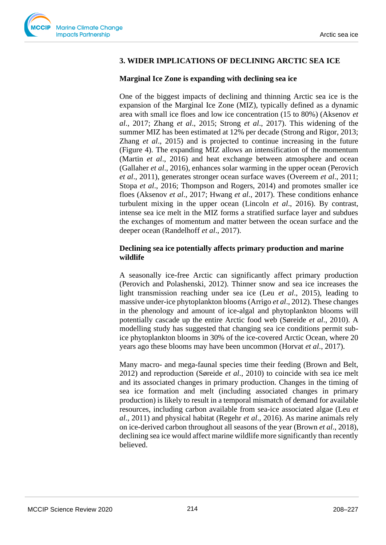# **3. WIDER IMPLICATIONS OF DECLINING ARCTIC SEA ICE**

## **Marginal Ice Zone is expanding with declining sea ice**

One of the biggest impacts of declining and thinning Arctic sea ice is the expansion of the Marginal Ice Zone (MIZ), typically defined as a dynamic area with small ice floes and low ice concentration (15 to 80%) (Aksenov *et al*., 2017; Zhang *et al*., 2015; Strong *et al*., 2017). This widening of the summer MIZ has been estimated at 12% per decade (Strong and Rigor, 2013; Zhang *et al*., 2015) and is projected to continue increasing in the future (Figure 4). The expanding MIZ allows an intensification of the momentum (Martin *et al*., 2016) and heat exchange between atmosphere and ocean (Gallaher *et al*., 2016), enhances solar warming in the upper ocean (Perovich *et al*., 2011), generates stronger ocean surface waves (Overeem *et al*., 2011; Stopa *et al*., 2016; Thompson and Rogers, 2014) and promotes smaller ice floes (Aksenov *et al*., 2017; Hwang *et al*., 2017). These conditions enhance turbulent mixing in the upper ocean (Lincoln *et al*., 2016). By contrast, intense sea ice melt in the MIZ forms a stratified surface layer and subdues the exchanges of momentum and matter between the ocean surface and the deeper ocean (Randelhoff *et al*., 2017).

# **Declining sea ice potentially affects primary production and marine wildlife**

A seasonally ice-free Arctic can significantly affect primary production (Perovich and Polashenski, 2012). Thinner snow and sea ice increases the light transmission reaching under sea ice (Leu *et al*., 2015), leading to massive under-ice phytoplankton blooms (Arrigo *et al*., 2012). These changes in the phenology and amount of ice-algal and phytoplankton blooms will potentially cascade up the entire Arctic food web (Søreide *et al*., 2010). A modelling study has suggested that changing sea ice conditions permit subice phytoplankton blooms in 30% of the ice-covered Arctic Ocean, where 20 years ago these blooms may have been uncommon (Horvat *et al*., 2017).

Many macro- and mega-faunal species time their feeding (Brown and Belt, 2012) and reproduction (Søreide *et al*., 2010) to coincide with sea ice melt and its associated changes in primary production. Changes in the timing of sea ice formation and melt (including associated changes in primary production) is likely to result in a temporal mismatch of demand for available resources, including carbon available from sea-ice associated algae (Leu *et al*., 2011) and physical habitat (Regehr *et al*., 2016). As marine animals rely on ice-derived carbon throughout all seasons of the year (Brown *et al*., 2018), declining sea ice would affect marine wildlife more significantly than recently believed.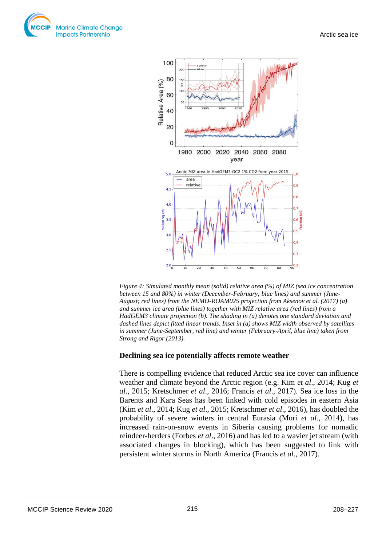



*Figure 4: Simulated monthly mean (solid) relative area (%) of MIZ (sea ice concentration between 15 and 80%) in winter (December-February; blue lines) and summer (June-August; red lines) from the NEMO-ROAM025 projection from Aksenov et al. (2017) (a) and summer ice area (blue lines) together with MIZ relative area (red lines) from a HadGEM3 climate projection (b). The shading in (a) denotes one standard deviation and dashed lines depict fitted linear trends. Inset in (a) shows MIZ width observed by satellites in summer (June-September, red line) and winter (February-April, blue line) taken from Strong and Rigor (2013).*

### **Declining sea ice potentially affects remote weather**

There is compelling evidence that reduced Arctic sea ice cover can influence weather and climate beyond the Arctic region (e.g. Kim *et al*., 2014; Kug *et al*., 2015; Kretschmer *et al*., 2016; Francis *et al*., 2017). Sea ice loss in the Barents and Kara Seas has been linked with cold episodes in eastern Asia (Kim *et al*., 2014; Kug *et al*., 2015; Kretschmer *et al*., 2016), has doubled the probability of severe winters in central Eurasia (Mori *et al*., 2014), has increased rain-on-snow events in Siberia causing problems for nomadic reindeer-herders (Forbes *et al*., 2016) and has led to a wavier jet stream (with associated changes in blocking), which has been suggested to link with persistent winter storms in North America (Francis *et al*., 2017).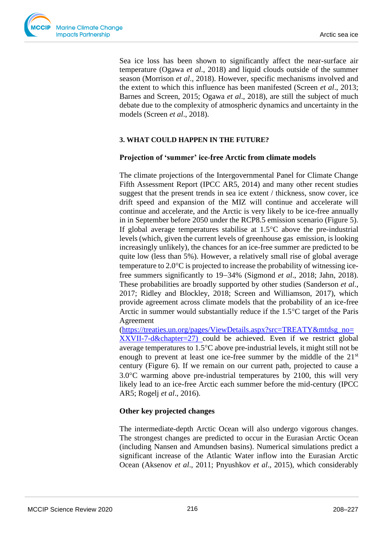Sea ice loss has been shown to significantly affect the near-surface air temperature (Ogawa *et al*., 2018) and liquid clouds outside of the summer season (Morrison *et al*., 2018). However, specific mechanisms involved and the extent to which this influence has been manifested (Screen *et al*., 2013; Barnes and Screen, 2015; Ogawa *et al*., 2018), are still the subject of much debate due to the complexity of atmospheric dynamics and uncertainty in the models (Screen *et al*., 2018).

# **3. WHAT COULD HAPPEN IN THE FUTURE?**

# **Projection of 'summer' ice-free Arctic from climate models**

The climate projections of the Intergovernmental Panel for Climate Change Fifth Assessment Report (IPCC AR5, 2014) and many other recent studies suggest that the present trends in sea ice extent / thickness, snow cover, ice drift speed and expansion of the MIZ will continue and accelerate will continue and accelerate, and the Arctic is very likely to be ice-free annually in in September before 2050 under the RCP8.5 emission scenario (Figure 5). If global average temperatures stabilise at  $1.5^{\circ}$ C above the pre-industrial levels (which, given the current levels of greenhouse gas emission, is looking increasingly unlikely), the chances for an ice-free summer are predicted to be quite low (less than 5%). However, a relatively small rise of global average temperature to  $2.0^{\circ}$ C is projected to increase the probability of witnessing icefree summers significantly to 19−34% (Sigmond *et al*., 2018; Jahn, 2018). These probabilities are broadly supported by other studies (Sanderson *et al*., 2017; Ridley and Blockley, 2018; Screen and Williamson, 2017), which provide agreement across climate models that the probability of an ice-free Arctic in summer would substantially reduce if the  $1.5^{\circ}$ C target of the Paris Agreement

[\(https://treaties.un.org/pages/ViewDetails.aspx?src=TREATY&mtdsg\\_no=](https://treaties.un.org/pages/ViewDetails.aspx?src=TREATY&mtdsg_no=XXVII-7-d&chapter=27) [XXVII-7-d&chapter=27\)](https://treaties.un.org/pages/ViewDetails.aspx?src=TREATY&mtdsg_no=XXVII-7-d&chapter=27) could be achieved. Even if we restrict global average temperatures to  $1.5^{\circ}$ C above pre-industrial levels, it might still not be enough to prevent at least one ice-free summer by the middle of the  $21<sup>st</sup>$ century (Figure 6). If we remain on our current path, projected to cause a  $3.0^{\circ}$ C warming above pre-industrial temperatures by 2100, this will very likely lead to an ice-free Arctic each summer before the mid-century (IPCC AR5; Rogelj *et al*., 2016).

# **Other key projected changes**

The intermediate-depth Arctic Ocean will also undergo vigorous changes. The strongest changes are predicted to occur in the Eurasian Arctic Ocean (including Nansen and Amundsen basins). Numerical simulations predict a significant increase of the Atlantic Water inflow into the Eurasian Arctic Ocean (Aksenov *et al*., 2011; Pnyushkov *et al*., 2015), which considerably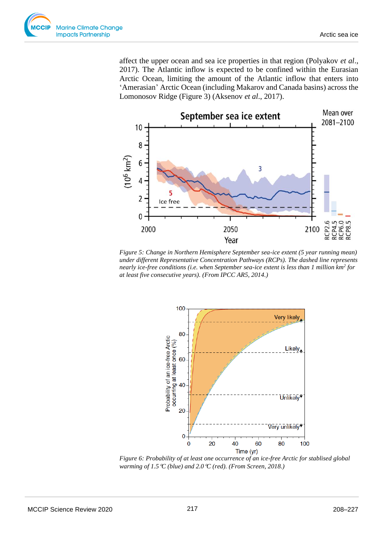

affect the upper ocean and sea ice properties in that region (Polyakov *et al*., 2017). The Atlantic inflow is expected to be confined within the Eurasian Arctic Ocean, limiting the amount of the Atlantic inflow that enters into 'Amerasian' Arctic Ocean (including Makarov and Canada basins) across the Lomonosov Ridge (Figure 3) (Aksenov *et al*., 2017).



*Figure 5: Change in Northern Hemisphere September sea-ice extent (5 year running mean) under different Representative Concentration Pathways (RCPs). The dashed line represents nearly ice-free conditions (i.e. when September sea-ice extent is less than 1 million km<sup>2</sup> for at least five consecutive years). (From IPCC AR5, 2014.)* 



*Figure 6: Probability of at least one occurrence of an ice-free Arctic for stablised global warming of 1.5C (blue) and 2.0C (red). (From Screen, 2018.)*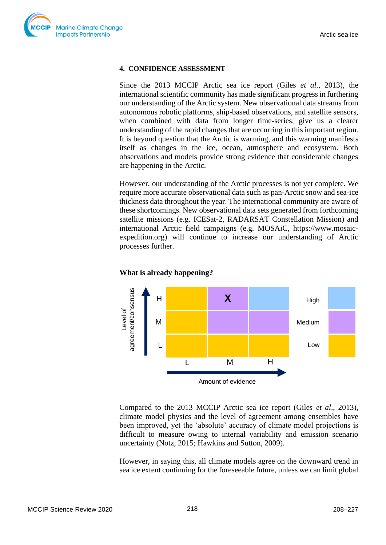

#### **4. CONFIDENCE ASSESSMENT**

Since the 2013 MCCIP Arctic sea ice report (Giles *et al*., 2013), the international scientific community has made significant progress in furthering our understanding of the Arctic system. New observational data streams from autonomous robotic platforms, ship-based observations, and satellite sensors, when combined with data from longer time-series, give us a clearer understanding of the rapid changes that are occurring in this important region. It is beyond question that the Arctic is warming, and this warming manifests itself as changes in the ice, ocean, atmosphere and ecosystem. Both observations and models provide strong evidence that considerable changes are happening in the Arctic.

However, our understanding of the Arctic processes is not yet complete. We require more accurate observational data such as pan-Arctic snow and sea-ice thickness data throughout the year. The international community are aware of these shortcomings. New observational data sets generated from forthcoming satellite missions (e.g. ICESat-2, RADARSAT Constellation Mission) and international Arctic field campaigns (e.g. MOSAiC, https://www.mosaicexpedition.org) will continue to increase our understanding of Arctic processes further.



#### **What is already happening?**

Compared to the 2013 MCCIP Arctic sea ice report (Giles *et al*., 2013), climate model physics and the level of agreement among ensembles have been improved, yet the 'absolute' accuracy of climate model projections is difficult to measure owing to internal variability and emission scenario uncertainty (Notz, 2015; Hawkins and Sutton, 2009).

However, in saying this, all climate models agree on the downward trend in sea ice extent continuing for the foreseeable future, unless we can limit global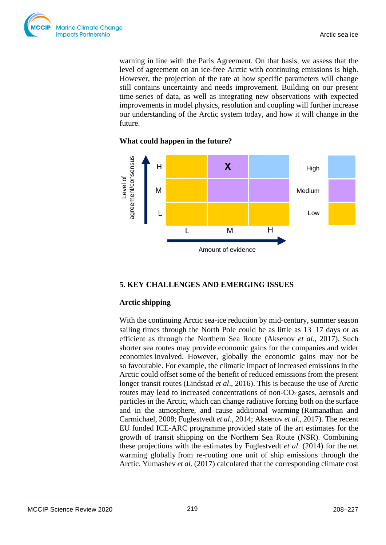

warning in line with the Paris Agreement. On that basis, we assess that the level of agreement on an ice-free Arctic with continuing emissions is high. However, the projection of the rate at how specific parameters will change still contains uncertainty and needs improvement. Building on our present time-series of data, as well as integrating new observations with expected improvements in model physics, resolution and coupling will further increase our understanding of the Arctic system today, and how it will change in the future.

# X High Medium Low Amount of evidence Level of<br>agreement/consensus agreement/consensus H M L L M H

# **What could happen in the future?**

### **5. KEY CHALLENGES AND EMERGING ISSUES**

### **Arctic shipping**

With the continuing Arctic sea-ice reduction by mid-century, summer season sailing times through the North Pole could be as little as 13−17 days or as efficient as through the Northern Sea Route (Aksenov *et al*., 2017). Such shorter sea routes may provide economic gains for the companies and wider economies involved. However, globally the economic gains may not be so favourable. For example, the climatic impact of increased emissions in the Arctic could offset some of the benefit of reduced emissions from the present longer transit routes (Lindstad *et al*., 2016). This is because the use of Arctic routes may lead to increased concentrations of non-CO<sub>2</sub> gases, aerosols and particles in the Arctic, which can change radiative forcing both on the surface and in the atmosphere, and cause additional warming (Ramanathan and Carmichael, 2008; Fuglestvedt *et al*., 2014; Aksenov *et al*., 2017). The recent EU funded ICE-ARC programme provided state of the art estimates for the growth of transit shipping on the Northern Sea Route (NSR). Combining these projections with the estimates by Fuglestvedt *et al*. (2014) for the net warming globally from re-routing one unit of ship emissions through the Arctic, Yumashev *et al*. (2017) calculated that the corresponding climate cost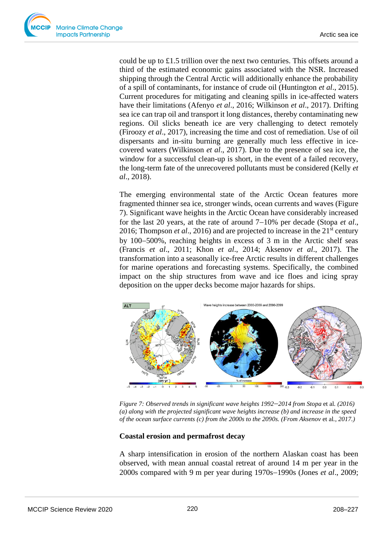could be up to £1.5 trillion over the next two centuries. This offsets around a third of the estimated economic gains associated with the NSR. Increased shipping through the Central Arctic will additionally enhance the probability of a spill of contaminants, for instance of crude oil (Huntington *et al*., 2015). Current procedures for mitigating and cleaning spills in ice-affected waters have their limitations (Afenyo *et al*., 2016; Wilkinson *et al*., 2017). Drifting sea ice can trap oil and transport it long distances, thereby contaminating new regions. Oil slicks beneath ice are very challenging to detect remotely (Firoozy *et al*., 2017), increasing the time and cost of remediation. Use of oil dispersants and in-situ burning are generally much less effective in icecovered waters (Wilkinson *et al*., 2017). Due to the presence of sea ice, the window for a successful clean-up is short, in the event of a failed recovery, the long-term fate of the unrecovered pollutants must be considered (Kelly *et al*., 2018).

The emerging environmental state of the Arctic Ocean features more fragmented thinner sea ice, stronger winds, ocean currents and waves (Figure 7). Significant wave heights in the Arctic Ocean have considerably increased for the last 20 years, at the rate of around 7−10% per decade (Stopa *et al*., 2016; Thompson *et al*., 2016) and are projected to increase in the 21st century by 100−500%, reaching heights in excess of 3 m in the Arctic shelf seas (Francis *et al*., 2011; Khon *et al*., 2014; Aksenov *et al*., 2017). The transformation into a seasonally ice-free Arctic results in different challenges for marine operations and forecasting systems. Specifically, the combined impact on the ship structures from wave and ice floes and icing spray deposition on the upper decks become major hazards for ships.



*Figure 7: Observed trends in significant wave heights 1992*−*2014 from Stopa* et al*. (2016) (a) along with the projected significant wave heights increase (b) and increase in the speed of the ocean surface currents (c) from the 2000s to the 2090s. (From Aksenov* et al*., 2017.)*

### **Coastal erosion and permafrost decay**

A sharp intensification in erosion of the northern Alaskan coast has been observed, with mean annual coastal retreat of around 14 m per year in the 2000s compared with 9 m per year during 1970s−1990s (Jones *et al*., 2009;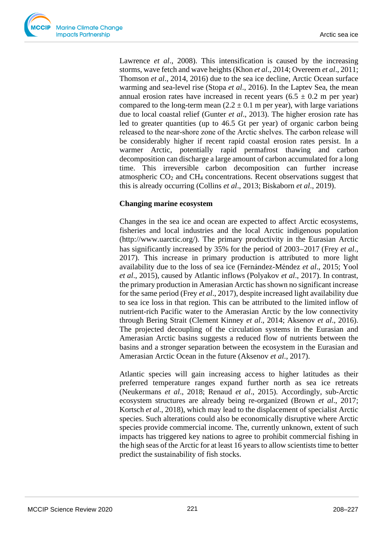Lawrence *et al.*, 2008). This intensification is caused by the increasing storms, wave fetch and wave heights (Khon *et al*., 2014; Overeem *et al*., 2011; Thomson *et al*., 2014, 2016) due to the sea ice decline, Arctic Ocean surface warming and sea-level rise (Stopa *et al*., 2016). In the Laptev Sea, the mean annual erosion rates have increased in recent years  $(6.5 \pm 0.2 \text{ m per year})$ compared to the long-term mean  $(2.2 \pm 0.1 \text{ m per year})$ , with large variations due to local coastal relief (Gunter *et al*., 2013). The higher erosion rate has led to greater quantities (up to 46.5 Gt per year) of organic carbon being released to the near‐shore zone of the Arctic shelves. The carbon release will be considerably higher if recent rapid coastal erosion rates persist. In a warmer Arctic, potentially rapid permafrost thawing and carbon decomposition can discharge a large amount of carbon accumulated for a long time. This irreversible carbon decomposition can further increase atmospheric  $CO<sub>2</sub>$  and  $CH<sub>4</sub>$  concentrations. Recent observations suggest that this is already occurring (Collins *et al*., 2013; Biskaborn *et al*., 2019).

# **Changing marine ecosystem**

Changes in the sea ice and ocean are expected to affect Arctic ecosystems, fisheries and local industries and the local Arctic indigenous population (http://www.uarctic.org/). The primary productivity in the Eurasian Arctic has significantly increased by 35% for the period of 2003−2017 (Frey *et al*., 2017). This increase in primary production is attributed to more light availability due to the loss of sea ice (Fernández-Méndez *et al*., 2015; Yool *et al*., 2015), caused by Atlantic inflows (Polyakov *et al*., 2017). In contrast, the primary production in Amerasian Arctic has shown no significant increase for the same period (Frey *et al*., 2017), despite increased light availability due to sea ice loss in that region. This can be attributed to the limited inflow of nutrient-rich Pacific water to the Amerasian Arctic by the low connectivity through Bering Strait (Clement Kinney *et al*., 2014; Aksenov *et al*., 2016). The projected decoupling of the circulation systems in the Eurasian and Amerasian Arctic basins suggests a reduced flow of nutrients between the basins and a stronger separation between the ecosystem in the Eurasian and Amerasian Arctic Ocean in the future (Aksenov *et al*., 2017).

Atlantic species will gain increasing access to higher latitudes as their preferred temperature ranges expand further north as sea ice retreats (Neukermans *et al*., 2018; Renaud *et al*., 2015). Accordingly, sub-Arctic ecosystem structures are already being re-organized (Brown *et al*., 2017; Kortsch *et al*., 2018), which may lead to the displacement of specialist Arctic species. Such alterations could also be economically disruptive where Arctic species provide commercial income. The, currently unknown, extent of such impacts has triggered key nations to agree to prohibit commercial fishing in the high seas of the Arctic for at least 16 years to allow scientists time to better predict the sustainability of fish stocks.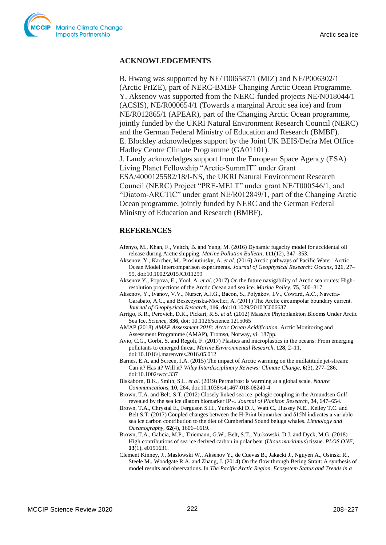### **ACKNOWLEDGEMENTS**

B. Hwang was supported by NE/T006587/1 (MIZ) and NE/P006302/1 (Arctic PrIZE), part of NERC-BMBF Changing Arctic Ocean Programme. Y. Aksenov was supported from the NERC-funded projects NE/N018044/1 (ACSIS), NE/R000654/1 (Towards a marginal Arctic sea ice) and from NE/R012865/1 (APEAR), part of the Changing Arctic Ocean programme, jointly funded by the UKRI Natural Environment Research Council (NERC) and the German Federal Ministry of Education and Research (BMBF). E. Blockley acknowledges support by the Joint UK BEIS/Defra Met Office Hadley Centre Climate Programme (GA01101). J. Landy acknowledges support from the European Space Agency (ESA) Living Planet Fellowship "Arctic-SummIT" under Grant

ESA/4000125582/18/I-NS, the UKRI Natural Environment Research Council (NERC) Project "PRE-MELT" under grant NE/T000546/1, and "Diatom-ARCTIC" under grant NE/R012849/1, part of the Changing Arctic Ocean programme, jointly funded by NERC and the German Federal Ministry of Education and Research (BMBF).

## **REFERENCES**

- Afenyo, M., Khan, F., Veitch, B. and Yang, M. (2016) Dynamic fugacity model for accidental oil release during Arctic shipping. *Marine Pollution Bulletin*, **111**(12), 347–353.
- Aksenov, Y., Karcher, M., Proshutinsky, A. *et al*. (2016) Arctic pathways of Pacific Water: Arctic Ocean Model Intercomparison experiments. *Journal of Geophysical Research: Oceans*, **121**, 27– 59, doi:10.1002/2015JC011299
- Aksenov Y., Popova, E., Yool, A. *et al*. (2017) On the future navigability of Arctic sea routes: Highresolution projections of the Arctic Ocean and sea ice. *Marine Policy*, **75**, 300–317.
- Aksenov, Y., Ivanov, V.V., Nurser, A.J.G., Bacon, S., Polyakov, I.V., Coward, A.C., Naveira‐ Garabato, A.C., and Beszczynska‐Moeller, A. (2011) The Arctic circumpolar boundary current. *Journal of Geophysical Research*, **116**, doi:10.1029/2010JC006637
- Arrigo, K.R., Perovich, D.K., Pickart, R.S. *et al*. (2012) Massive Phytoplankton Blooms Under Arctic Sea Ice. *Science*, **336**, doi: 10.1126/science.1215065
- AMAP (2018) *AMAP Assessment 2018: Arctic Ocean Acidification*. Arctic Monitoring and Assessment Programme (AMAP), Tromsø, Norway, vi+187pp.
- Avio, C.G., Gorbi, S. and Regoli, F. (2017) Plastics and microplastics in the oceans: From emerging pollutants to emerged threat. *Marine Environmental Research*, **128**, 2–11, doi:10.1016/j.marenvres.2016.05.012
- Barnes, E.A. and Screen, J.A. (2015) The impact of Arctic warming on the midlatitude jet-stream: Can it? Has it? Will it? *Wiley Interdisciplinary Reviews: Climate Change*, **6**(3), 277–286, doi:10.1002/wcc.337
- Biskaborn, B.K., Smith, S.L. *et al*. (2019) Permafrost is warming at a global scale. *Nature Communications,* **10**, 264, doi:10.1038/s41467-018-08240-4
- Brown, T.A. and Belt, S.T. (2012) Closely linked sea ice–pelagic coupling in the Amundsen Gulf revealed by the sea ice diatom biomarker IP25. *Journal of Plankton Research,* **34**, 647–654.
- Brown, T.A., Chrystal E., Ferguson S.H., Yurkowski D.J., Watt C., Hussey N.E., Kelley T.C. and Belt S.T. (2017) Coupled changes between the H-Print biomarker and δ15N indicates a variable sea ice carbon contribution to the diet of Cumberland Sound beluga whales. *Limnology and Oceanography,* **62**(4), 1606–1619.
- Brown, T.A., Galicia, M.P., Thiemann, G.W., Belt, S.T., Yurkowski, D.J. and Dyck, M.G. (2018) High contributions of sea ice derived carbon in polar bear (*Ursus maritimus*) tissue. *PLOS ONE*, **13**(1), e0191631.
- Clement Kinney, J., Maslowski W., Aksenov Y., de Cuevas B., Jakacki J., Nguyen A., Osinski R., Steele M., Woodgate R.A. and Zhang, J. (2014) On the flow through Bering Strait: A synthesis of model results and observations. In *The Pacific Arctic Region. Ecosystem Status and Trends in a*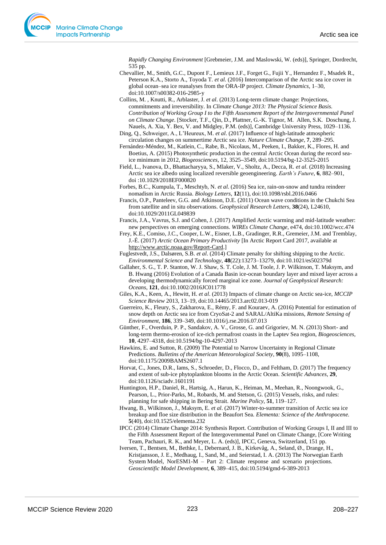*Rapidly Changing Environment* [Grebmeier, J.M. and Maslowski, W. (eds)], Springer, Dordrecht, 535 pp.

- Chevallier, M., Smith, G.C., Dupont F., Lemieux J.F., Forget G., Fujii Y., Hernandez F., Msadek R., Peterson K.A., Storto A., Toyoda T. *et al*. (2016) Intercomparison of the Arctic sea ice cover in global ocean–sea ice reanalyses from the ORA-IP project. *Climate Dynamics,* 1–30, doi:10.1007/s00382-016-2985-y
- Collins, M. , Knutti, R., Arblaster, J. *et al*. (2013) Long-term climate change: Projections, commitments and irreversibility. In *Climate Change 2013: The Physical Science Basis. Contribution of Working Group I to the Fifth Assessment Report of the Intergovernmental Panel on Climate Change*. [Stocker, T.F., Qin, D., Plattner, G.-K. Tignor, M. Allen, S.K. Doschung, J. Nauels, A. Xia, Y. Bex, V. and Midgley, P.M. (eds)], Cambridge University Press, 1029–1136.
- Ding, Q., Schweiger, A., L'Heureux, M. *et al*. (2017) Influence of high-latitude atmospheric circulation changes on summertime Arctic sea ice. *Nature Climate Change*, **7**, 289–295.
- Fernández-Méndez, M., Katlein, C., Rabe, B., Nicolaus, M., Peeken, I., Bakker, K., Flores, H. and Boetius, A. (2015) Photosynthetic production in the central Arctic Ocean during the record seaice minimum in 2012, *Biogeosciences*, 12, 3525**–**3549, doi:10.5194/bg-12-3525-2015
- Field, L., Ivanova, D., Bhattacharyya, S., Mlaker, V., Sholtz, A., Decca, R. *et al*. (2018) Increasing Arctic sea ice albedo using localized reversible geoengineering. *Earth's Future*, **6**, 882–901, doi :10.1029/2018EF000820
- Forbes, B.C., Kumpula, T., Meschtyb, N. *et al*. (2016) Sea ice, rain-on-snow and tundra reindeer nomadism in Arctic Russia. *Biology Letters*, **12**(11), doi:10.1098/rsbl.2016.0466
- Francis, O.P., Panteleev, G.G. and Atkinson, D.E. (2011) Ocean wave conditions in the Chukchi Sea from satellite and in situ observations. *Geophysical Research Letters,* **38**(24), L24610, doi:10.1029/2011GL049839
- Francis, J.A., Vavrus, S.J. and Cohen, J. (2017) Amplified Arctic warming and mid-latitude weather: new perspectives on emerging connections. *WIREs Climate Change*, e474, doi:10.1002/wcc.474
- Frey, K.E., Comiso, J.C., Cooper, L.W., Eisner, L.B., Gradinger, R.R., Gremeier, J.M. and Tremblay, J.-É. (2017) *Arctic Ocean Primary Productivity* [In Arctic Report Card 2017, available at [http://www.arctic.noaa.gov/Report-Card.](http://www.arctic.noaa.gov/Report-Card)]
- Fuglestvedt, J.S., Dalsøren, S.B. *et al*. (2014) Climate penalty for shifting shipping to the Arctic. *Environmental Science and Technology,* **48**(22):13273–13279, doi:10.1021/es502379d
- Gallaher, S. G., T. P. Stanton, W. J. Shaw, S. T. Cole, J. M. Toole, J. P. Wilkinson, T. Maksym, and B. Hwang (2016) Evolution of a Canada Basin ice-ocean boundary layer and mixed layer across a developing thermodynamically forced marginal ice zone. *Journal of Geophysical Research: Oceans*, **121**, doi:10.1002/2016JC011778
- Giles, K.A., Keen, A., Hewitt, H. *et al*. (2013) Impacts of climate change on Arctic sea-ice, *MCCIP Science Review* 2013, 13–19, doi:10.14465/2013.arc02.013-019
- Guerreiro, K., Fleury, S., Zakharova, E., Rémy, F. and Kouraev, A. (2016) Potential for estimation of snow depth on Arctic sea ice from CryoSat-2 and SARAL/AltiKa missions, *Remote Sensing of Environment*, **186**, 339–349, doi:10.1016/j.rse.2016.07.013
- Günther, F., Overduin, P. P., Sandakov, A. V., Grosse, G. and Grigoriev, M. N. (2013) Short- and long-term thermo-erosion of ice-rich permafrost coasts in the Laptev Sea region, *Biogeosciences,*  **10**, 4297–4318, doi:10.5194/bg-10-4297-2013
- Hawkins, E. and Sutton, R. (2009) The Potential to Narrow Uncertainty in Regional Climate Predictions. *Bulletins of the American Meteorological Society,* **90**(8), 1095–1108, doi:10.1175/2009BAMS2607.1
- Horvat, C., Jones, D.R., Iams, S., Schroeder, D., Flocco, D., and Feltham, D. (2017) The frequency and extent of sub-ice phytoplankton blooms in the Arctic Ocean. *Scientific Advances*, **29**, doi:10.1126/sciadv.1601191
- Huntington, H.P., Daniel, R., Hartsig, A., Harun, K., Heiman, M., Meehan, R., Noongwook, G., Pearson, L., Prior-Parks, M., Robards, M. and Stetson, G. (2015) Vessels, risks, and rules: planning for safe shipping in Bering Strait. *Marine Policy*, **51**, 119–127.
- Hwang, B., Wilkinson, J., Maksym, E. *et al*. (2017) Winter-to-summer transition of Arctic sea ice breakup and floe size distribution in the Beaufort Sea. *Elementa: Science of the Anthropocene.* **5**(40), doi:10.1525/elementa.232
- IPCC (2014) Climate Change 2014: Synthesis Report. Contribution of Working Groups I, II and III to the Fifth Assessment Report of the Intergovernmental Panel on Climate Change, [Core Writing Team, Pachauri, R. K., and Meyer, L. A. (eds)], IPCC, Geneva, Switzerland, 151 pp.
- Iversen, T., Bentsen, M., Bethke, I., Debernard, J. B., Kirkevåg, A., Seland, Ø., Drange, H., Kristjansson, J. E., Medhaug, I., Sand, M., and Seierstad, I. A. (2013) The Norwegian Earth System Model, NorESM1-M – Part 2: Climate response and scenario projections. *Geoscientific Model Development,* **6**, 389–415, doi:10.5194/gmd-6-389-2013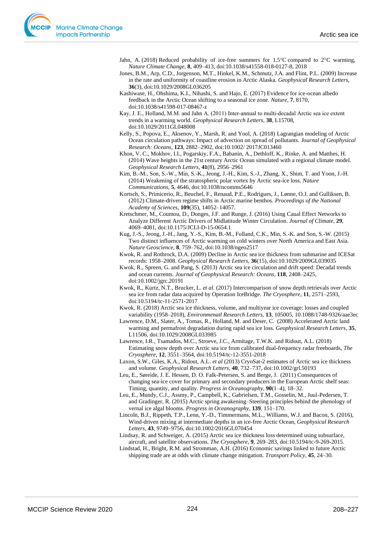- Jahn, A. (2018) Reduced probability of ice-free summers for  $1.5^{\circ}$ C compared to  $2^{\circ}$ C warming, *Nature Climate Change,* **8**, 409–413, doi:10.1038/s41558-018-0127-8, 2018
- Jones, B.M., Arp, C.D., Jorgenson, M.T., Hinkel, K.M., Schmutz, J.A. and Flint, P.L. (2009) Increase in the rate and uniformity of coastline erosion in Arctic Alaska. *Geophysical Research Letters,* **36**(3), doi:10.1029/2008GL036205
- Kashiwase, H., Ohshima, K.I., Nihashi, S. and Hajo, E. (2017) Evidence for ice-ocean albedo feedback in the Arctic Ocean shifting to a seasonal ice zone. *Nature*, **7**, 8170, doi:10.1038/s41598-017-08467-z
- Kay, J. E., Holland, M.M. and Jahn A. (2011) Inter-annual to multi-decadal Arctic sea ice extent trends in a warming world. *Geophysical Research Letters,* **38**, L15708, doi:10.1029/2011GL048008
- Kelly, S., Popova, E., Aksenov, Y., Marsh, R. and Yool, A. (2018) Lagrangian modeling of Arctic Ocean circulation pathways: Impact of advection on spread of pollutants. *Journal of Geophysical Research: Oceans*, **123**, 2882–2902, doi:10.1002/ 2017JC013460
- Khon, V. C., Mokhov, I.I., Pogarskiy, F.A., Babanin, A., Dethloff, K., Rinke, A. and Matthes, H. (2014) Wave heights in the 21st century Arctic Ocean simulated with a regional climate model. *Geophysical Research Letters,* **41**(8), 2956–2961
- Kim, B.-M., Son, S.-W., Min, S.-K., Jeong, J.-H., Kim, S.-J., Zhang, X., Shim, T. and Yoon, J.-H. (2014) Weakening of the stratospheric polar vortex by Arctic sea-ice loss. *Nature Communications,* **5**, 4646, doi:10.1038/ncomms5646
- Kortsch, S., Primicerio, R., Beuchel, F., Renaud, P.E., Rodrigues, J., Lønne, O.J. and Gulliksen, B. (2012) Climate-driven regime shifts in Arctic marine benthos. *Proceedings of the National Academy of Sciences,* **109**(35), 14052–14057.
- Kretschmer, M., Coumou, D., Donges, J.F. and Runge, J. (2016) Using Caual Effect Networks to Analyze Different Arctic Drivers of Midlatitude Winter Circulation. *Journal of Climate,* **29**, 4069–4081, doi:10.1175/JCLI-D-15-0654.1
- Kug, J.-S., Jeong, J.-H., Jang, Y.-S., Kim, B.-M., Folland, C.K., Min, S.-K. and Son, S.-W. (2015) Two distinct influences of Arctic warming on cold winters over North America and East Asia. *Nature Geoscience,* **8**, 759–762, doi:10.1038/ngeo2517
- Kwok, R. and Rothrock, D.A. (2009) Decline in Arctic sea ice thickness from submarine and ICESat records: 1958–2008. *Geophysical Research Letters*, **36**(15), doi:10.1029/2009GL039035
- Kwok, R., Spreen, G. and Pang, S. (2013) Arctic sea ice circulation and drift speed: Decadal trends and ocean currents. *Journal of Geophysical Research: Oceans,* **118**, 2408–2425, doi:10.1002/jgrc.20191
- Kwok, R., Kurtz, N.T., Brucker, L. *et al*. (2017) Intercomparison of snow depth retrievals over Arctic sea ice from radar data acquired by Operation IceBridge. *The Cryosphere*, **11**, 2571–2593, doi:10.5194/tc-11-2571-2017
- Kwok, R. (2018) Arctic sea ice thickness, volume, and multiyear ice coverage: losses and coupled variability (1958–2018), *Environmenatl Research Letters,* **13**, 105005, 10.1088/1748-9326/aae3ec
- Lawrence, D.M., Slater, A., Tomas, R., Holland, M. and Deser, C. (2008) Accelerated Arctic land warming and permafrost degradation during rapid sea ice loss. *Geophysical Research Letters,* **35**, L11506, doi:10.1029/2008GL033985
- Lawrence, I.R., Tsamados, M.C., Stroeve, J.C., Armitage, T.W.K. and Ridout, A.L. (2018) Estimating snow depth over Arctic sea ice from calibrated dual-frequency radar freeboards, *The Cryosphere,* **12**, 3551–3564, doi:10.5194/tc-12-3551-2018
- Laxon, S.W., Giles, K.A., Ridout, A.L. *et al* (2013) CryoSat-2 estimates of Arctic sea ice thickness and volume. *Geophysical Research Letters,* **40**, 732–737, doi:10.1002/grl.50193
- Leu, E., Søreide, J. E. Hessen, D. O. Falk-Petersen, S. and Berge, J. (2011) Consequences of changing sea-ice cover for primary and secondary producers in the European Arctic shelf seas: Timing, quantity, and quality. *Progress in Oceanography*, **90**(1–4), 18–32.
- Leu, E., Mundy, C.J., Assmy, P., Campbell, K., Gabrielsen, T.M., Gosselin, M., Juul-Pedersen, T. and Gradinger, R. (2015) Arctic spring awakening–Steering principles behind the phenology of vernal ice algal blooms. *Progress in Oceanography*, **139**, 151–170.
- Lincoln, B.J., Rippeth, T.P., Lenn, Y.-D., Timmermans, M.L., Williams, W.J. and Bacon, S. (2016), Wind-driven mixing at intermediate depths in an ice-free Arctic Ocean, *Geophysical Research Letters*, **43**, 9749–9756, doi:10.1002/2016GL070454
- Lindsay, R. and Schweiger, A. (2015) Arctic sea ice thickness loss determined using subsurface, aircraft, and satellite observations. *The Cryosphere*, **9**, 269–283, doi:10.5194/tc-9-269-2015.
- Lindstad, H., Bright, R.M. and Stromman, A.H. (2016) Economic savings linked to future Arctic shipping trade are at odds with climate change mitigation. *Transport Policy*, **45**, 24–30.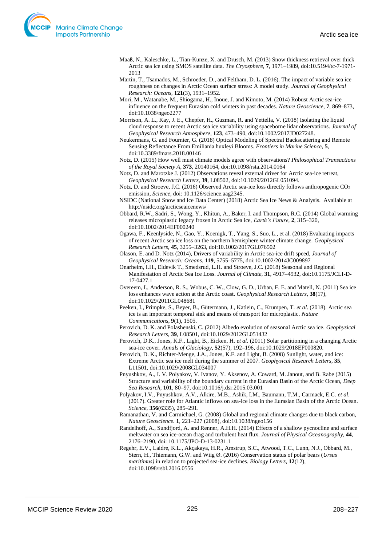- Maaß, N., Kaleschke, L., Tian-Kunze, X. and Drusch, M. (2013) Snow thickness retrieval over thick Arctic sea ice using SMOS satellite data. *The Cryosphere*, **7**, 1971–1989, doi:10.5194/tc-7-1971- 2013
- Martin, T., Tsamados, M., Schroeder, D., and Feltham, D. L. (2016). The impact of variable sea ice roughness on changes in Arctic Ocean surface stress: A model study. *Journal of Geophysical Research: Oceans,* **121**(3), 1931–1952.
- Mori, M., Watanabe, M., Shiogama, H., Inoue, J. and Kimoto, M. (2014) Robust Arctic sea-ice influence on the frequent Eurasian cold winters in past decades. *Nature Geoscience,* **7**, 869–873, doi:10.1038/ngeo2277
- Morrison, A. L., Kay, J. E., Chepfer, H., Guzman, R. and Yettella, V. (2018) Isolating the liquid cloud response to recent Arctic sea ice variability using spaceborne lidar observations. *Journal of Geophysical Research Atmosphere,* **123**, 473–490, doi:10.1002/2017JD027248.
- Neukermans, G. and Fournier, G. (2018) Optical Modeling of Spectral Backscattering and Remote Sensing Reflectance From Emiliania huxleyi Blooms. *Frontiers in Marine Science*, **5**, doi:10.3389/fmars.2018.00146
- Notz, D. (2015) How well must climate models agree with observations? *Philosophical Transactions of the Royal Society A*, **373**, 20140164, doi:10.1098/rsta.2014.0164

Notz, D. and Marotzke J. (2012) Observations reveal external driver for Arctic sea-ice retreat, *Geophysical Research Letters,* **39**, L08502, doi:10.1029/2012GL051094.

- Notz, D. and Stroeve, J.C. (2016) Observed Arctic sea-ice loss directly follows anthropogenic CO<sup>2</sup> emission, *Science,* doi: 10.1126/science.aag2345.
- NSIDC (National Snow and Ice Data Center) (2018) Arctic Sea Ice News & Analysis. Available at http://nsidc.org/arcticseaicenews/
- Obbard, R.W., Sadri, S., Wong, Y., Khitun, A., Baker, I. and Thompson, R.C. (2014) Global warming releases microplastic legacy frozen in Arctic Sea ice, *Earth's Future*, **2**, 315–320, doi:10.1002/2014EF000240
- Ogawa, F., Keenlyside, N., Gao, Y., Koenigk, T., Yang, S., Suo, L., et al. (2018) Evaluating impacts of recent Arctic sea ice loss on the northern hemisphere winter climate change. *Geophysical Research Letters,* **45**, 3255–3263, doi:10.1002/2017GL076502
- Olason, E. and D. Notz (2014), Drivers of variability in Arctic sea-ice drift speed, *Journal of Geophysical Research: Oceans,* **119**, 5755–5775, doi:10.1002/2014JC009897
- Onarheim, I.H., Eldevik T., Smedsrud, L.H. and Stroeve, J.C. (2018) Seasonal and Regional Manifestation of Arctic Sea Ice Loss. *Journal of Climate*, **31**, 4917–4932, doi:10.1175/JCLI-D-17-0427.1
- Overeem, I., Anderson, R. S., Wobus, C. W., Clow, G. D., Urban, F. E. and Matell, N. (2011) Sea ice loss enhances wave action at the Arctic coast. *Geophysical Research Letters,* **38**(17), doi:10.1029/2011GL048681
- Peeken, I., Primpke, S., Beyer, B., Gütermann, J., Katlein, C., Krumpen, T. *et al*. (2018). Arctic sea ice is an important temporal sink and means of transport for microplastic. *Nature Communications*, **9**(1), 1505.
- Perovich, D. K. and Polashenski, C. (2012) Albedo evolution of seasonal Arctic sea ice. *Geophysical Research Letters,* **39**, L08501, doi:10.1029/2012GL051432
- Perovich, D.K., Jones, K.F., Light, B., Eicken, H. *et al*. (2011) Solar partitioning in a changing Arctic sea-ice cover. *Annals of Glaciology,* **52**(57), 192–196, doi:10.1029/2018EF000820.
- Perovich, D. K., Richter-Menge, J.A., Jones, K.F. and Light, B. (2008) Sunlight, water, and ice: Extreme Arctic sea ice melt during the summer of 2007. *Geophysical Research Letters,* **35**, L11501, doi:10.1029/2008GL034007
- Pnyushkov, A., I. V. Polyakov, V. Ivanov, Y. Aksenov, A. Coward, M. Janout, and B. Rabe (2015) Structure and variability of the boundary current in the Eurasian Basin of the Arctic Ocean, *Deep Sea Research*, **101**, 80–97, doi:10.1016/j.dsr.2015.03.001
- Polyakov, I.V., Pnyushkov, A.V., Alkire, M.B., Ashik, I.M., Baumann, T.M., Carmack, E.C. *et al*. (2017). Greater role for Atlantic inflows on sea-ice loss in the Eurasian Basin of the Arctic Ocean. *Science*, **356**(6335), 285–291.
- Ramanathan, V. and Carmichael, G. (2008) Global and regional climate changes due to black carbon, *Nature Geoscience.* **1**, 221–227 (2008), doi:10.1038/ngeo156
- Randelhoff, A., Sundfjord, A. and Renner, A.H.H. (2014) Effects of a shallow pycnocline and surface meltwater on sea ice-ocean drag and turbulent heat flux. *Journal of Physical Oceanography,* **44**, 2176–2190, doi: 10.1175/JPO-D-13-0231.1
- Regehr, E.V., Laidre, K.L., Akçakaya, H.R., Amstrup, S.C., Atwood, T.C., Lunn, N.J., Obbard, M., Stern, H., Thiemann, G.W. and Wiig Ø. (2016) Conservation status of polar bears (*Ursus maritimus)* in relation to projected sea-ice declines. *Biology Letters*, **12**(12), doi:10.1098/rsbl.2016.0556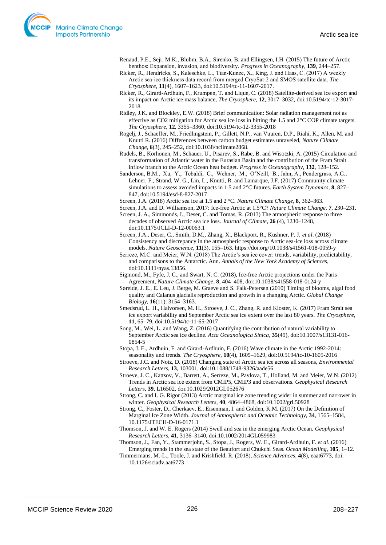Renaud, P.E., Sejr, M.K., Bluhm, B.A., Sirenko, B. and Ellingsen, I.H. (2015) The future of Arctic benthos: Expansion, invasion, and biodiversity. *Progress in Oceanography*, **139**, 244–257.

- Ricker, R., Hendricks, S., Kaleschke, L., Tian‐Kunze, X., King, J. and Haas, C. (2017) A weekly Arctic sea‐ice thickness data record from merged CryoSat‐2 and SMOS satellite data. *The Cryosphere*, **11**(4), 1607–1623, doi:10.5194/tc-11-1607-2017.
- Ricker, R., Girard-Ardhuin, F., Krumpen, T. and Lique, C. (2018) Satellite-derived sea ice export and its impact on Arctic ice mass balance, *The Cryosphere,* **12**, 3017–3032, doi:10.5194/tc-12-3017- 2018.
- Ridley, J.K. and Blockley, E.W. (2018) Brief communication: Solar radiation management not as effective as CO2 mitigation for Arctic sea ice loss in hitting the 1.5 and  $2^{\circ}$ C COP climate targets. *The Cryosphere,* **12**, 3355–3360, doi:10.5194/tc-12-3355-2018
- Rogelj, J., Schaeffer, M., Friedlingstein, P., Gillett, N.P., van Vuuren, D.P., Riahi, K., Allen, M. and Knutti R. (2016) Differences between carbon budget estimates unraveled, *Nature Climate Change,* **6**(3), 245–252, doi:10.1038/nclimate2868.
- Rudels, B., Korhonen, M., Schauer, U., Pisarev, S., Rabe, B. and Wisotzki, A. (2015) Circulation and transformation of Atlantic water in the Eurasian Basin and the contribution of the Fram Strait inflow branch to the Arctic Ocean heat budget. *Progress in Oceanography*, **132**, 128–152.
- Sanderson, B.M., Xu, Y., Tebaldi, C., Wehner, M., O'Neill, B., Jahn, A., Pendergrass, A.G., Lehner, F., Strand, W. G., Lin, L., Knutti, R. and Lamarque, J.F. (2017) Community climate simulations to assess avoided impacts in 1.5 and 2°C futures. *Earth System Dynamics*, 8, 827– 847, doi:10.5194/esd-8-827-2017
- Screen, J.A. (2018) Arctic sea ice at 1.5 and 2 °C. *Nature Climate Change*, **8**, 362–363.
- Screen, J.A. and D. Williamson, 2017: Ice-free Arctic at 1.5°C? *Nature Climate Change,* **7**, 230–231.
- Screen, J. A., Simmonds, I., Deser, C. and Tomas, R. (2013) The atmospheric response to three decades of observed Arctic sea ice loss. *Journal of Climate,* **26** (4), 1230–1248, doi:10.1175/JCLI-D-12-00063.1
- Screen, J.A., Deser, C., Smith, D.M., Zhang, X., Blackport, R., Kushner, P. J. *et al*. (2018) Consistency and discrepancy in the atmospheric response to Arctic sea-ice loss across climate models. *Nature Geoscience*, **11**(3), 155–163. https://doi.org/10.1038/s41561-018-0059-y
- Serreze, M.C. and Meier, W.N. (2018) The Arctic's sea ice cover: trends, variability, predictability, and comparisons to the Antarctic. Ann. *Annals of the New York Academy of Sciences*, doi:10.1111/nyas.13856.
- Sigmond, M., Fyfe, J. C., and Swart, N. C. (2018), Ice-free Arctic projections under the Paris Agreement, *Nature Climate Change,* **8**, 404–408, doi:10.1038/s41558-018-0124-y
- Søreide, J. E., E. Leu, J. Berge, M. Graeve and S. Falk-Petersen (2010) Timing of blooms, algal food quality and Calanus glacialis reproduction and growth in a changing Arctic. *Global Change Biology,* **16**(11): 3154–3163.
- Smedsrud, L. H., Halvorsen, M. H., Stroeve, J. C., Zhang, R. and Kloster, K. (2017) Fram Strait sea ice export variability and September Arctic sea ice extent over the last 80 years. *The Cryosphere,* **11**, 65–79, doi:10.5194/tc-11-65-2017
- Song, M., Wei, L. and Wang, Z. (2016) Quantifying the contribution of natural variability to September Arctic sea ice decline. *Acta Oceanologica Sinica,* **35**(49), [doi:10.1007/s13131-016-](https://doi.org/10.1007/s13131-016-0854-5) [0854-5](https://doi.org/10.1007/s13131-016-0854-5)
- Stopa, J. E., Ardhuin, F. and Girard-Ardhuin, F. (2016) Wave climate in the Arctic 1992-2014: seasonality and trends. *The Cryosphere,* **10**(4), 1605–1629, doi:10.5194/tc-10-1605-2016
- Stroeve, J.C. and Notz, D. (2018) Changing state of Arctic sea ice across all seasons, *Environmental Research Letters,* **13**, 103001, doi:10.1088/1748-9326/aade56
- Stroeve, J. C., Kattsov, V., Barrett, A., Serreze, M., Pavlova, T., Holland, M. and Meier, W.N. (2012) Trends in Arctic sea ice extent from CMIP5, CMIP3 and observations. *Geophysical Research Letters,* **39**, L16502, doi:10.1029/2012GL052676
- Strong, C. and I. G. Rigor (2013) Arctic marginal ice zone trending wider in summer and narrower in winter. *Geophysical Research Letters,* **40**, 4864–4868, doi:10.1002/grl.50928
- Strong, C., Foster, D., Cherkaev, E., Eisenman, I. and Golden, K.M. (2017) On the Definition of Marginal Ice Zone Width. *Journal of Atmospheric and Oceanic Technology,* **34**, 1565–1584, 10.1175/JTECH-D-16-0171.1
- Thomson, J. and W. E. Rogers (2014) Swell and sea in the emerging Arctic Ocean. *Geophysical Research Letters,* **41**, 3136–3140, doi:10.1002/2014GL059983
- Thomson, J., Fan, Y., Stammerjohn, S., Stopa, J., Rogers, W. E., Girard-Ardhuin, F. *et al*. (2016) Emerging trends in the sea state of the Beaufort and Chukchi Seas. *Ocean Modelling*, **105**, 1–12.
- Timmermans, M.-L., Toole, J. and Krishfield, R. (2018), *Science Advances*, **4**(8), eaat6773, doi: 10.1126/sciadv.aat6773